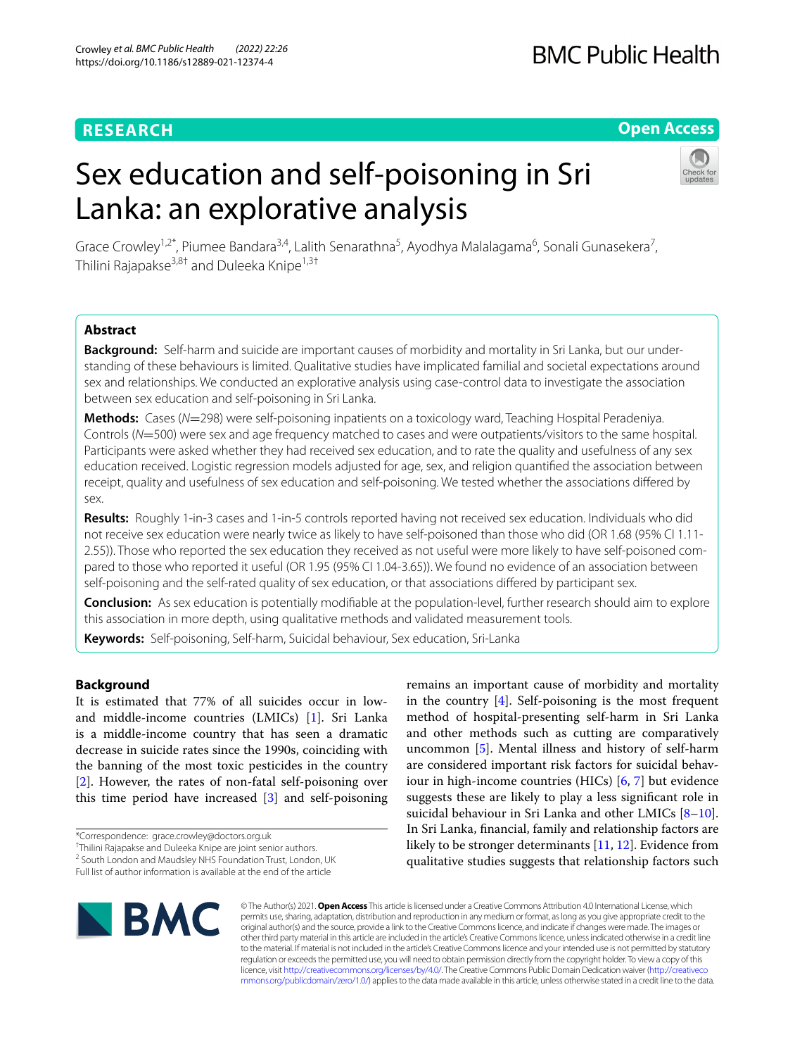# **RESEARCH**

# **Open Access**

# Sex education and self-poisoning in Sri Lanka: an explorative analysis



Grace Crowley<sup>1,2\*</sup>, Piumee Bandara<sup>3,4</sup>, Lalith Senarathna<sup>5</sup>, Ayodhya Malalagama<sup>6</sup>, Sonali Gunasekera<sup>7</sup>, Thilini Rajapakse<sup>3,8†</sup> and Duleeka Knipe<sup>1,3†</sup>

# **Abstract**

**Background:** Self-harm and suicide are important causes of morbidity and mortality in Sri Lanka, but our understanding of these behaviours is limited. Qualitative studies have implicated familial and societal expectations around sex and relationships. We conducted an explorative analysis using case-control data to investigate the association between sex education and self-poisoning in Sri Lanka.

**Methods:** Cases (*N*=298) were self-poisoning inpatients on a toxicology ward, Teaching Hospital Peradeniya. Controls (*N*=500) were sex and age frequency matched to cases and were outpatients/visitors to the same hospital. Participants were asked whether they had received sex education, and to rate the quality and usefulness of any sex education received. Logistic regression models adjusted for age, sex, and religion quantifed the association between receipt, quality and usefulness of sex education and self-poisoning. We tested whether the associations difered by sex.

**Results:** Roughly 1-in-3 cases and 1-in-5 controls reported having not received sex education. Individuals who did not receive sex education were nearly twice as likely to have self-poisoned than those who did (OR 1.68 (95% CI 1.11- 2.55)). Those who reported the sex education they received as not useful were more likely to have self-poisoned compared to those who reported it useful (OR 1.95 (95% CI 1.04-3.65)). We found no evidence of an association between self-poisoning and the self-rated quality of sex education, or that associations difered by participant sex.

**Conclusion:** As sex education is potentially modifable at the population-level, further research should aim to explore this association in more depth, using qualitative methods and validated measurement tools.

**Keywords:** Self-poisoning, Self-harm, Suicidal behaviour, Sex education, Sri-Lanka

# **Background**

It is estimated that 77% of all suicides occur in lowand middle-income countries (LMICs) [[1\]](#page-9-0). Sri Lanka is a middle-income country that has seen a dramatic decrease in suicide rates since the 1990s, coinciding with the banning of the most toxic pesticides in the country [[2\]](#page-9-1). However, the rates of non-fatal self-poisoning over this time period have increased [\[3](#page-9-2)] and self-poisoning

† Thilini Rajapakse and Duleeka Knipe are joint senior authors.

remains an important cause of morbidity and mortality in the country [\[4](#page-9-3)]. Self-poisoning is the most frequent method of hospital-presenting self-harm in Sri Lanka and other methods such as cutting are comparatively uncommon [\[5](#page-9-4)]. Mental illness and history of self-harm are considered important risk factors for suicidal behaviour in high-income countries (HICs) [\[6](#page-9-5), [7](#page-9-6)] but evidence suggests these are likely to play a less signifcant role in suicidal behaviour in Sri Lanka and other LMICs [\[8](#page-9-7)-10]. In Sri Lanka, fnancial, family and relationship factors are likely to be stronger determinants [[11,](#page-9-9) [12\]](#page-9-10). Evidence from qualitative studies suggests that relationship factors such



© The Author(s) 2021. **Open Access** This article is licensed under a Creative Commons Attribution 4.0 International License, which permits use, sharing, adaptation, distribution and reproduction in any medium or format, as long as you give appropriate credit to the original author(s) and the source, provide a link to the Creative Commons licence, and indicate if changes were made. The images or other third party material in this article are included in the article's Creative Commons licence, unless indicated otherwise in a credit line to the material. If material is not included in the article's Creative Commons licence and your intended use is not permitted by statutory regulation or exceeds the permitted use, you will need to obtain permission directly from the copyright holder. To view a copy of this licence, visit [http://creativecommons.org/licenses/by/4.0/.](http://creativecommons.org/licenses/by/4.0/) The Creative Commons Public Domain Dedication waiver ([http://creativeco](http://creativecommons.org/publicdomain/zero/1.0/) [mmons.org/publicdomain/zero/1.0/](http://creativecommons.org/publicdomain/zero/1.0/)) applies to the data made available in this article, unless otherwise stated in a credit line to the data.

<sup>\*</sup>Correspondence: grace.crowley@doctors.org.uk

<sup>&</sup>lt;sup>2</sup> South London and Maudsley NHS Foundation Trust, London, UK

Full list of author information is available at the end of the article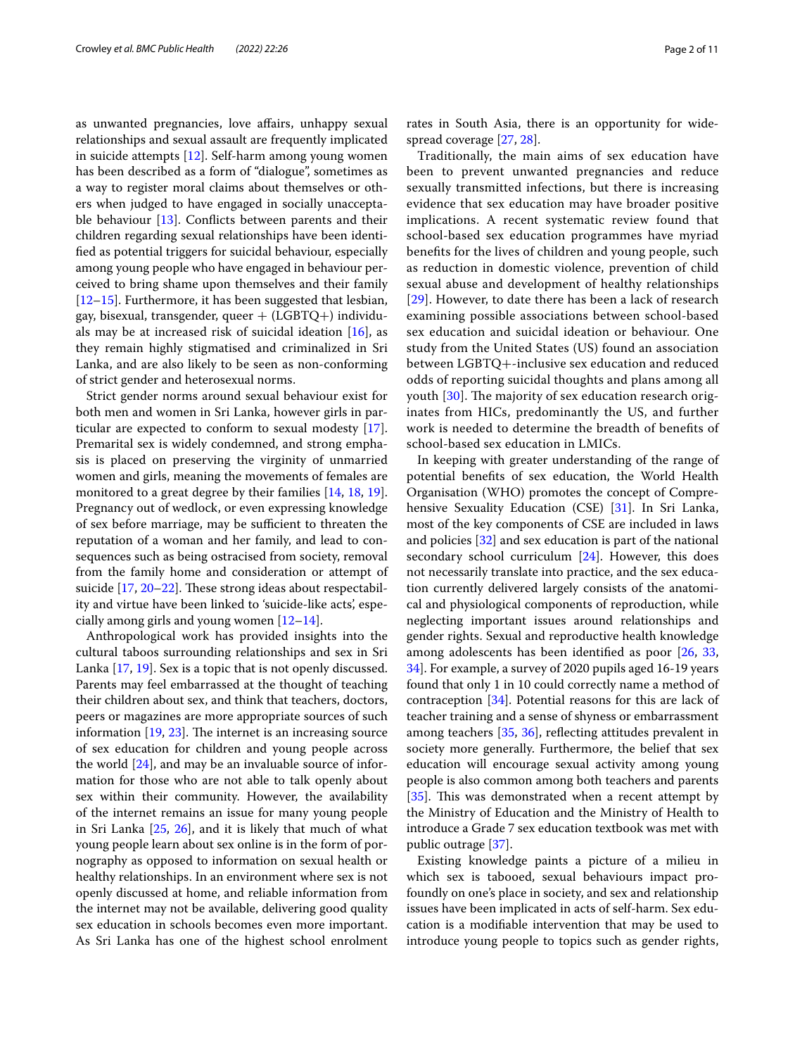as unwanted pregnancies, love afairs, unhappy sexual relationships and sexual assault are frequently implicated in suicide attempts [\[12](#page-9-10)]. Self-harm among young women has been described as a form of "dialogue", sometimes as a way to register moral claims about themselves or others when judged to have engaged in socially unacceptable behaviour [\[13](#page-9-11)]. Conficts between parents and their children regarding sexual relationships have been identifed as potential triggers for suicidal behaviour, especially among young people who have engaged in behaviour perceived to bring shame upon themselves and their family [[12–](#page-9-10)[15](#page-9-12)]. Furthermore, it has been suggested that lesbian, gay, bisexual, transgender, queer  $+$  (LGBTQ+) individuals may be at increased risk of suicidal ideation  $[16]$  $[16]$ , as they remain highly stigmatised and criminalized in Sri Lanka, and are also likely to be seen as non-conforming of strict gender and heterosexual norms.

Strict gender norms around sexual behaviour exist for both men and women in Sri Lanka, however girls in particular are expected to conform to sexual modesty [\[17](#page-9-14)]. Premarital sex is widely condemned, and strong emphasis is placed on preserving the virginity of unmarried women and girls, meaning the movements of females are monitored to a great degree by their families [[14,](#page-9-15) [18](#page-9-16), [19](#page-9-17)]. Pregnancy out of wedlock, or even expressing knowledge of sex before marriage, may be sufficient to threaten the reputation of a woman and her family, and lead to consequences such as being ostracised from society, removal from the family home and consideration or attempt of suicide  $[17, 20-22]$  $[17, 20-22]$  $[17, 20-22]$  $[17, 20-22]$ . These strong ideas about respectability and virtue have been linked to 'suicide-like acts', especially among girls and young women  $[12-14]$  $[12-14]$ .

Anthropological work has provided insights into the cultural taboos surrounding relationships and sex in Sri Lanka [\[17](#page-9-14), [19\]](#page-9-17). Sex is a topic that is not openly discussed. Parents may feel embarrassed at the thought of teaching their children about sex, and think that teachers, doctors, peers or magazines are more appropriate sources of such information  $[19, 23]$  $[19, 23]$  $[19, 23]$  $[19, 23]$  $[19, 23]$ . The internet is an increasing source of sex education for children and young people across the world [[24\]](#page-10-1), and may be an invaluable source of information for those who are not able to talk openly about sex within their community. However, the availability of the internet remains an issue for many young people in Sri Lanka [\[25,](#page-10-2) [26](#page-10-3)], and it is likely that much of what young people learn about sex online is in the form of pornography as opposed to information on sexual health or healthy relationships. In an environment where sex is not openly discussed at home, and reliable information from the internet may not be available, delivering good quality sex education in schools becomes even more important. As Sri Lanka has one of the highest school enrolment rates in South Asia, there is an opportunity for widespread coverage [\[27](#page-10-4), [28\]](#page-10-5).

Traditionally, the main aims of sex education have been to prevent unwanted pregnancies and reduce sexually transmitted infections, but there is increasing evidence that sex education may have broader positive implications. A recent systematic review found that school-based sex education programmes have myriad benefts for the lives of children and young people, such as reduction in domestic violence, prevention of child sexual abuse and development of healthy relationships [[29](#page-10-6)]. However, to date there has been a lack of research examining possible associations between school-based sex education and suicidal ideation or behaviour. One study from the United States (US) found an association between LGBTQ+-inclusive sex education and reduced odds of reporting suicidal thoughts and plans among all youth  $[30]$  $[30]$ . The majority of sex education research originates from HICs, predominantly the US, and further work is needed to determine the breadth of benefts of school-based sex education in LMICs.

In keeping with greater understanding of the range of potential benefts of sex education, the World Health Organisation (WHO) promotes the concept of Comprehensive Sexuality Education (CSE) [[31\]](#page-10-8). In Sri Lanka, most of the key components of CSE are included in laws and policies [\[32](#page-10-9)] and sex education is part of the national secondary school curriculum [[24](#page-10-1)]. However, this does not necessarily translate into practice, and the sex education currently delivered largely consists of the anatomical and physiological components of reproduction, while neglecting important issues around relationships and gender rights. Sexual and reproductive health knowledge among adolescents has been identifed as poor [[26](#page-10-3), [33](#page-10-10), [34\]](#page-10-11). For example, a survey of 2020 pupils aged 16-19 years found that only 1 in 10 could correctly name a method of contraception [\[34](#page-10-11)]. Potential reasons for this are lack of teacher training and a sense of shyness or embarrassment among teachers [[35,](#page-10-12) [36\]](#page-10-13), refecting attitudes prevalent in society more generally. Furthermore, the belief that sex education will encourage sexual activity among young people is also common among both teachers and parents [[35\]](#page-10-12). This was demonstrated when a recent attempt by the Ministry of Education and the Ministry of Health to introduce a Grade 7 sex education textbook was met with public outrage [[37\]](#page-10-14).

Existing knowledge paints a picture of a milieu in which sex is tabooed, sexual behaviours impact profoundly on one's place in society, and sex and relationship issues have been implicated in acts of self-harm. Sex education is a modifable intervention that may be used to introduce young people to topics such as gender rights,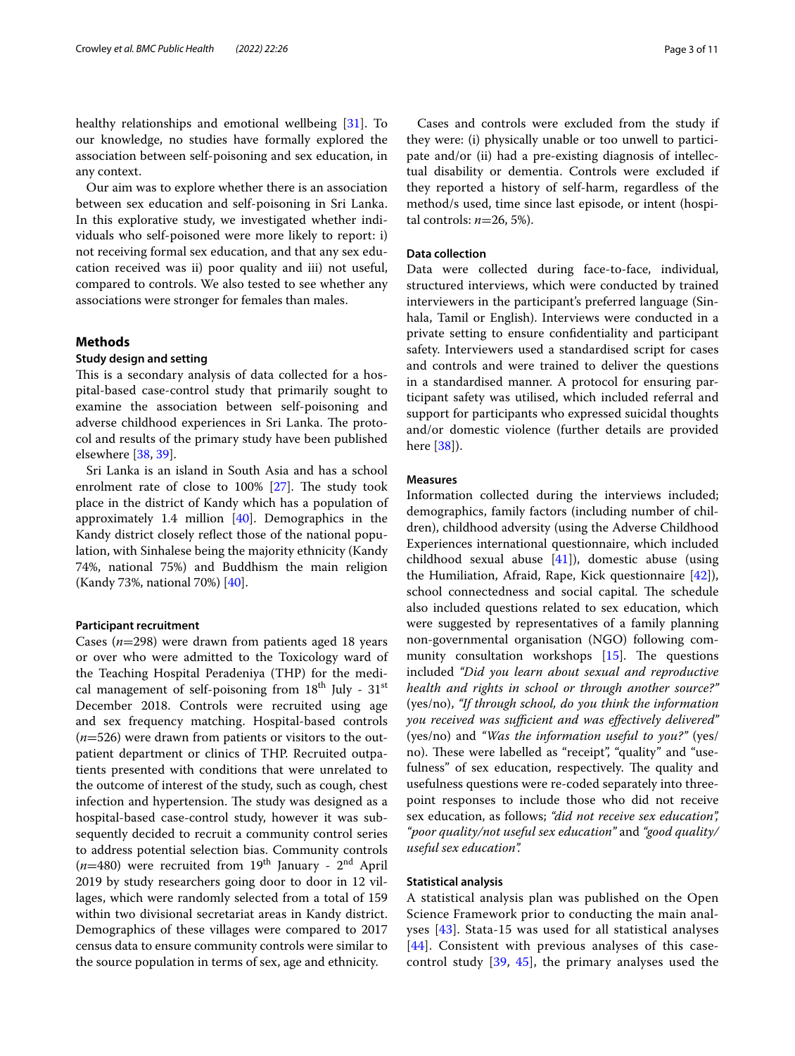healthy relationships and emotional wellbeing [\[31\]](#page-10-8). To our knowledge, no studies have formally explored the association between self-poisoning and sex education, in any context.

Our aim was to explore whether there is an association between sex education and self-poisoning in Sri Lanka. In this explorative study, we investigated whether individuals who self-poisoned were more likely to report: i) not receiving formal sex education, and that any sex education received was ii) poor quality and iii) not useful, compared to controls. We also tested to see whether any associations were stronger for females than males.

# **Methods**

# **Study design and setting**

This is a secondary analysis of data collected for a hospital-based case-control study that primarily sought to examine the association between self-poisoning and adverse childhood experiences in Sri Lanka. The protocol and results of the primary study have been published elsewhere [[38](#page-10-15), [39\]](#page-10-16).

Sri Lanka is an island in South Asia and has a school enrolment rate of close to  $100\%$   $[27]$ . The study took place in the district of Kandy which has a population of approximately 1.4 million [[40\]](#page-10-17). Demographics in the Kandy district closely refect those of the national population, with Sinhalese being the majority ethnicity (Kandy 74%, national 75%) and Buddhism the main religion (Kandy 73%, national 70%) [[40\]](#page-10-17).

#### **Participant recruitment**

Cases (*n*=298) were drawn from patients aged 18 years or over who were admitted to the Toxicology ward of the Teaching Hospital Peradeniya (THP) for the medical management of self-poisoning from  $18^{th}$  July -  $31^{st}$ December 2018. Controls were recruited using age and sex frequency matching. Hospital-based controls (*n*=526) were drawn from patients or visitors to the outpatient department or clinics of THP. Recruited outpatients presented with conditions that were unrelated to the outcome of interest of the study, such as cough, chest infection and hypertension. The study was designed as a hospital-based case-control study, however it was subsequently decided to recruit a community control series to address potential selection bias. Community controls (*n*=480) were recruited from 19th January - 2nd April 2019 by study researchers going door to door in 12 villages, which were randomly selected from a total of 159 within two divisional secretariat areas in Kandy district. Demographics of these villages were compared to 2017 census data to ensure community controls were similar to the source population in terms of sex, age and ethnicity.

Cases and controls were excluded from the study if they were: (i) physically unable or too unwell to participate and/or (ii) had a pre-existing diagnosis of intellectual disability or dementia. Controls were excluded if they reported a history of self-harm, regardless of the method/s used, time since last episode, or intent (hospital controls: *n*=26, 5%).

# **Data collection**

Data were collected during face-to-face, individual, structured interviews, which were conducted by trained interviewers in the participant's preferred language (Sinhala, Tamil or English). Interviews were conducted in a private setting to ensure confdentiality and participant safety. Interviewers used a standardised script for cases and controls and were trained to deliver the questions in a standardised manner. A protocol for ensuring participant safety was utilised, which included referral and support for participants who expressed suicidal thoughts and/or domestic violence (further details are provided here [\[38](#page-10-15)]).

# **Measures**

Information collected during the interviews included; demographics, family factors (including number of children), childhood adversity (using the Adverse Childhood Experiences international questionnaire, which included childhood sexual abuse [\[41](#page-10-18)]), domestic abuse (using the Humiliation, Afraid, Rape, Kick questionnaire [\[42\]](#page-10-19)), school connectedness and social capital. The schedule also included questions related to sex education, which were suggested by representatives of a family planning non-governmental organisation (NGO) following community consultation workshops  $[15]$  $[15]$ . The questions included *"Did you learn about sexual and reproductive health and rights in school or through another source?"* (yes/no), *"If through school, do you think the information you received was sufcient and was efectively delivered"* (yes/no) and *"Was the information useful to you?"* (yes/ no). These were labelled as "receipt", "quality" and "usefulness" of sex education, respectively. The quality and usefulness questions were re-coded separately into threepoint responses to include those who did not receive sex education, as follows; *"did not receive sex education", "poor quality/not useful sex education"* and *"good quality/ useful sex education".*

# **Statistical analysis**

A statistical analysis plan was published on the Open Science Framework prior to conducting the main analyses [[43](#page-10-20)]. Stata-15 was used for all statistical analyses [[44](#page-10-21)]. Consistent with previous analyses of this casecontrol study [[39,](#page-10-16) [45\]](#page-10-22), the primary analyses used the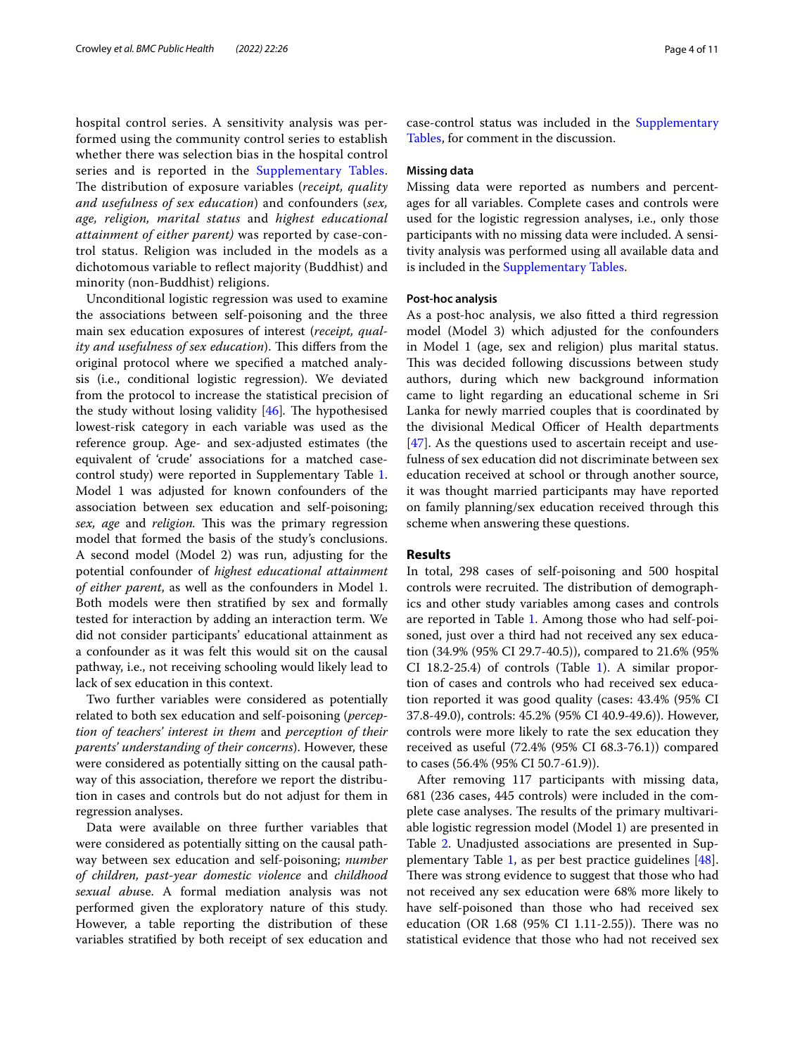hospital control series. A sensitivity analysis was performed using the community control series to establish whether there was selection bias in the hospital control series and is reported in the [Supplementary Tables](#page-8-0). The distribution of exposure variables (*receipt, quality and usefulness of sex education*) and confounders (*sex, age, religion, marital status* and *highest educational attainment of either parent)* was reported by case-control status. Religion was included in the models as a dichotomous variable to refect majority (Buddhist) and minority (non-Buddhist) religions.

Unconditional logistic regression was used to examine the associations between self-poisoning and the three main sex education exposures of interest (*receipt, quality and usefulness of sex education*). This differs from the original protocol where we specifed a matched analysis (i.e., conditional logistic regression). We deviated from the protocol to increase the statistical precision of the study without losing validity [\[46\]](#page-10-23). The hypothesised lowest-risk category in each variable was used as the reference group. Age- and sex-adjusted estimates (the equivalent of 'crude' associations for a matched casecontrol study) were reported in Supplementary Table [1](#page-8-0). Model 1 was adjusted for known confounders of the association between sex education and self-poisoning; *sex, age* and *religion*. This was the primary regression model that formed the basis of the study's conclusions. A second model (Model 2) was run, adjusting for the potential confounder of *highest educational attainment of either parent*, as well as the confounders in Model 1. Both models were then stratifed by sex and formally tested for interaction by adding an interaction term. We did not consider participants' educational attainment as a confounder as it was felt this would sit on the causal pathway, i.e., not receiving schooling would likely lead to lack of sex education in this context.

Two further variables were considered as potentially related to both sex education and self-poisoning (*perception of teachers' interest in them* and *perception of their parents' understanding of their concerns*). However, these were considered as potentially sitting on the causal pathway of this association, therefore we report the distribution in cases and controls but do not adjust for them in regression analyses.

Data were available on three further variables that were considered as potentially sitting on the causal pathway between sex education and self-poisoning; *number of children, past-year domestic violence* and *childhood sexual abu*se. A formal mediation analysis was not performed given the exploratory nature of this study. However, a table reporting the distribution of these variables stratifed by both receipt of sex education and case-control status was included in the [Supplementary](#page-8-0)  [Tables](#page-8-0), for comment in the discussion.

#### **Missing data**

Missing data were reported as numbers and percentages for all variables. Complete cases and controls were used for the logistic regression analyses, i.e., only those participants with no missing data were included. A sensitivity analysis was performed using all available data and is included in the [Supplementary Tables.](#page-8-0)

#### **Post‑hoc analysis**

As a post-hoc analysis, we also ftted a third regression model (Model 3) which adjusted for the confounders in Model 1 (age, sex and religion) plus marital status. This was decided following discussions between study authors, during which new background information came to light regarding an educational scheme in Sri Lanka for newly married couples that is coordinated by the divisional Medical Officer of Health departments [[47\]](#page-10-24). As the questions used to ascertain receipt and usefulness of sex education did not discriminate between sex education received at school or through another source, it was thought married participants may have reported on family planning/sex education received through this scheme when answering these questions.

# **Results**

In total, 298 cases of self-poisoning and 500 hospital controls were recruited. The distribution of demographics and other study variables among cases and controls are reported in Table [1.](#page-4-0) Among those who had self-poisoned, just over a third had not received any sex education (34.9% (95% CI 29.7-40.5)), compared to 21.6% (95% CI 18.2-25.4) of controls (Table [1\)](#page-4-0). A similar proportion of cases and controls who had received sex education reported it was good quality (cases: 43.4% (95% CI 37.8-49.0), controls: 45.2% (95% CI 40.9-49.6)). However, controls were more likely to rate the sex education they received as useful (72.4% (95% CI 68.3-76.1)) compared to cases (56.4% (95% CI 50.7-61.9)).

After removing 117 participants with missing data, 681 (236 cases, 445 controls) were included in the complete case analyses. The results of the primary multivariable logistic regression model (Model 1) are presented in Table [2.](#page-5-0) Unadjusted associations are presented in Supplementary Table [1](#page-8-0), as per best practice guidelines [\[48](#page-10-25)]. There was strong evidence to suggest that those who had not received any sex education were 68% more likely to have self-poisoned than those who had received sex education (OR  $1.68$  (95% CI 1.11-2.55)). There was no statistical evidence that those who had not received sex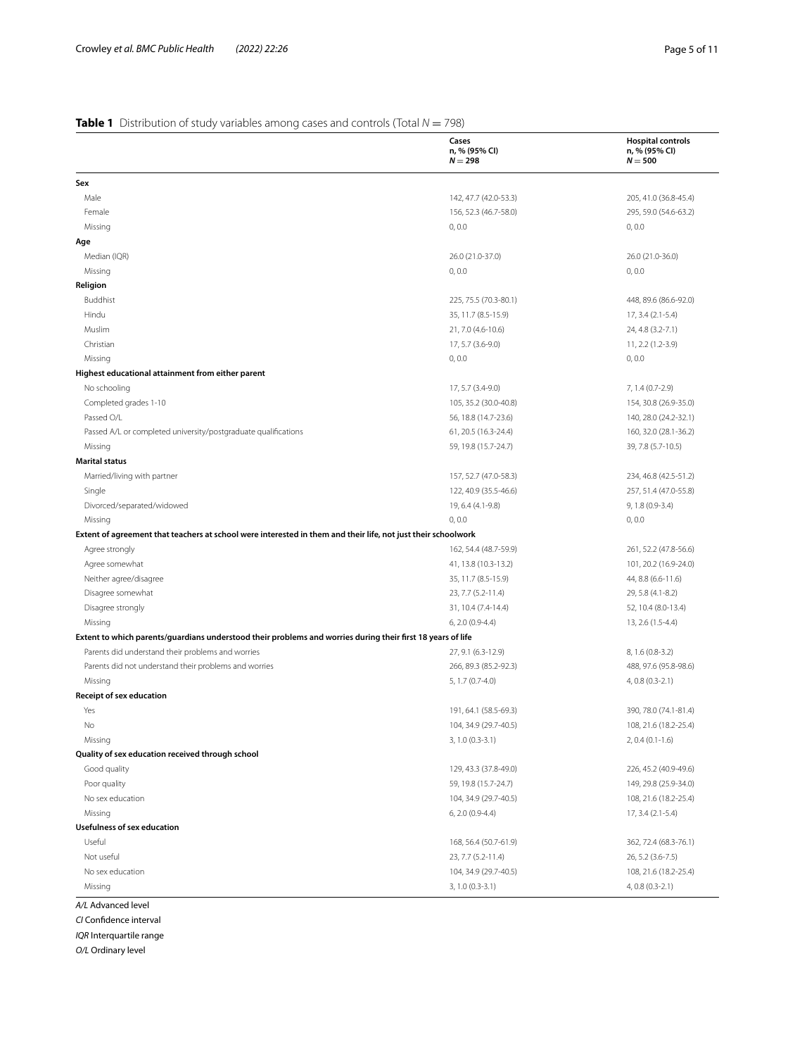# <span id="page-4-0"></span>**Table 1** Distribution of study variables among cases and controls (Total  $N = 798$ )

|                                                                                                               | Cases<br>n, % (95% CI)<br>$N = 298$ | <b>Hospital controls</b><br>n, % (95% CI)<br>$N = 500$ |
|---------------------------------------------------------------------------------------------------------------|-------------------------------------|--------------------------------------------------------|
| Sex                                                                                                           |                                     |                                                        |
| Male                                                                                                          | 142, 47.7 (42.0-53.3)               | 205, 41.0 (36.8-45.4)                                  |
| Female                                                                                                        | 156, 52.3 (46.7-58.0)               | 295, 59.0 (54.6-63.2)                                  |
| Missing                                                                                                       | 0, 0.0                              | 0, 0.0                                                 |
| Age                                                                                                           |                                     |                                                        |
| Median (IQR)                                                                                                  | 26.0 (21.0-37.0)                    | 26.0 (21.0-36.0)                                       |
| Missing                                                                                                       | 0, 0.0                              | 0, 0.0                                                 |
| Religion                                                                                                      |                                     |                                                        |
| Buddhist                                                                                                      | 225, 75.5 (70.3-80.1)               | 448, 89.6 (86.6-92.0)                                  |
| Hindu                                                                                                         | 35, 11.7 (8.5-15.9)                 | 17, 3.4 (2.1-5.4)                                      |
| Muslim                                                                                                        | 21, 7.0 (4.6-10.6)                  | 24, 4.8 (3.2-7.1)                                      |
| Christian                                                                                                     | 17, 5.7 (3.6-9.0)                   | 11, 2.2 (1.2-3.9)                                      |
| Missing                                                                                                       | 0, 0.0                              | 0, 0.0                                                 |
| Highest educational attainment from either parent                                                             |                                     |                                                        |
| No schooling                                                                                                  | 17, 5.7 (3.4-9.0)                   | 7, 1.4 (0.7-2.9)                                       |
| Completed grades 1-10                                                                                         | 105, 35.2 (30.0-40.8)               | 154, 30.8 (26.9-35.0)                                  |
| Passed O/L                                                                                                    | 56, 18.8 (14.7-23.6)                | 140, 28.0 (24.2-32.1)                                  |
| Passed A/L or completed university/postgraduate qualifications                                                | 61, 20.5 (16.3-24.4)                | 160, 32.0 (28.1-36.2)                                  |
| Missing                                                                                                       | 59, 19.8 (15.7-24.7)                | 39, 7.8 (5.7-10.5)                                     |
| <b>Marital status</b>                                                                                         |                                     |                                                        |
| Married/living with partner                                                                                   | 157, 52.7 (47.0-58.3)               | 234, 46.8 (42.5-51.2)                                  |
| Single                                                                                                        | 122, 40.9 (35.5-46.6)               | 257, 51.4 (47.0-55.8)                                  |
| Divorced/separated/widowed                                                                                    | 19, 6.4 (4.1-9.8)                   | 9, 1.8 (0.9-3.4)                                       |
| Missing                                                                                                       | 0, 0.0                              | 0, 0.0                                                 |
| Extent of agreement that teachers at school were interested in them and their life, not just their schoolwork |                                     |                                                        |
| Agree strongly                                                                                                | 162, 54.4 (48.7-59.9)               | 261, 52.2 (47.8-56.6)                                  |
| Agree somewhat                                                                                                | 41, 13.8 (10.3-13.2)                | 101, 20.2 (16.9-24.0)                                  |
| Neither agree/disagree                                                                                        | 35, 11.7 (8.5-15.9)                 | 44, 8.8 (6.6-11.6)                                     |
| Disagree somewhat                                                                                             | 23, 7.7 (5.2-11.4)                  | 29, 5.8 (4.1-8.2)                                      |
| Disagree strongly                                                                                             | 31, 10.4 (7.4-14.4)                 | 52, 10.4 (8.0-13.4)                                    |
| Missing                                                                                                       | 6, 2.0 (0.9-4.4)                    | 13, 2.6 (1.5-4.4)                                      |
| Extent to which parents/guardians understood their problems and worries during their first 18 years of life   |                                     |                                                        |
| Parents did understand their problems and worries                                                             | 27, 9.1 (6.3-12.9)                  | 8, 1.6 (0.8-3.2)                                       |
| Parents did not understand their problems and worries                                                         | 266, 89.3 (85.2-92.3)               | 488, 97.6 (95.8-98.6)                                  |
| Missing                                                                                                       | 5, 1.7 (0.7-4.0)                    | 4, 0.8 (0.3-2.1)                                       |
| Receipt of sex education                                                                                      |                                     |                                                        |
| Yes                                                                                                           | 191, 64.1 (58.5-69.3)               | 390, 78.0 (74.1-81.4)                                  |
| No                                                                                                            | 104, 34.9 (29.7-40.5)               | 108, 21.6 (18.2-25.4)                                  |
| Missing                                                                                                       | 3, 1.0 (0.3-3.1)                    | $2, 0.4 (0.1 - 1.6)$                                   |
| Quality of sex education received through school                                                              |                                     |                                                        |
| Good quality                                                                                                  | 129, 43.3 (37.8-49.0)               | 226, 45.2 (40.9-49.6)                                  |
| Poor quality                                                                                                  | 59, 19.8 (15.7-24.7)                | 149, 29.8 (25.9-34.0)                                  |
| No sex education                                                                                              | 104, 34.9 (29.7-40.5)               | 108, 21.6 (18.2-25.4)                                  |
| Missing                                                                                                       | 6, 2.0 (0.9-4.4)                    | 17, 3.4 (2.1-5.4)                                      |
| <b>Usefulness of sex education</b>                                                                            |                                     |                                                        |
| Useful                                                                                                        | 168, 56.4 (50.7-61.9)               | 362, 72.4 (68.3-76.1)                                  |
| Not useful                                                                                                    | 23, 7.7 (5.2-11.4)                  | 26, 5.2 (3.6-7.5)                                      |
| No sex education                                                                                              | 104, 34.9 (29.7-40.5)               | 108, 21.6 (18.2-25.4)                                  |
| Missing                                                                                                       | 3, 1.0 (0.3-3.1)                    |                                                        |

*CI* Confdence interval

*IQR* Interquartile range

*O/L* Ordinary level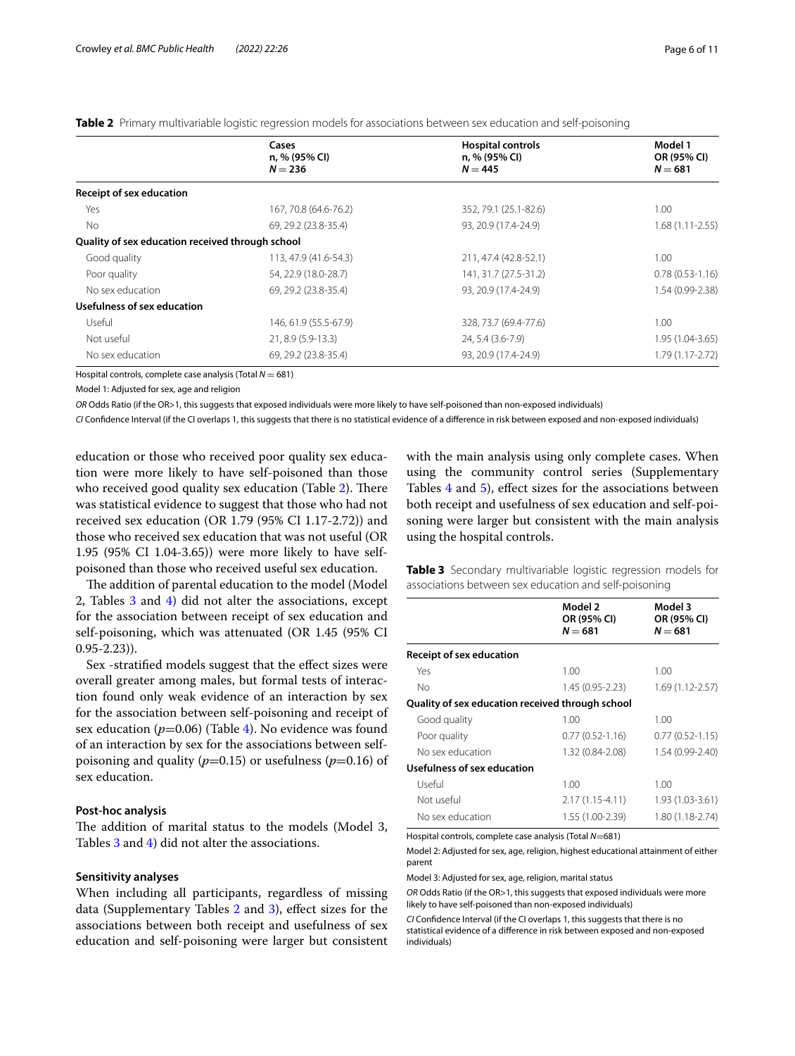| Cases<br>n, % (95% CI)<br>$N = 236$              |                       | <b>Hospital controls</b><br>n, % (95% CI)<br>$N = 445$ | Model 1<br>OR (95% CI)<br>$N = 681$ |  |
|--------------------------------------------------|-----------------------|--------------------------------------------------------|-------------------------------------|--|
| <b>Receipt of sex education</b>                  |                       |                                                        |                                     |  |
| Yes                                              | 167, 70.8 (64.6-76.2) | 352, 79.1 (25.1-82.6)                                  | 1.00                                |  |
| No                                               | 69, 29.2 (23.8-35.4)  | 93. 20.9 (17.4-24.9)                                   | $1.68(1.11 - 2.55)$                 |  |
| Quality of sex education received through school |                       |                                                        |                                     |  |
| Good quality                                     | 113, 47.9 (41.6-54.3) | 211, 47.4 (42.8-52.1)                                  | 1.00                                |  |
| Poor quality                                     | 54, 22.9 (18.0-28.7)  | 141, 31.7 (27.5-31.2)                                  | $0.78(0.53-1.16)$                   |  |
| No sex education                                 | 69, 29.2 (23.8-35.4)  | 93, 20.9 (17.4-24.9)                                   | 1.54 (0.99-2.38)                    |  |
| Usefulness of sex education                      |                       |                                                        |                                     |  |
| Useful                                           | 146, 61.9 (55.5-67.9) | 328, 73.7 (69.4-77.6)                                  | 1.00                                |  |
| Not useful<br>21, 8.9 (5.9-13.3)                 |                       | 24, 5.4 (3.6-7.9)                                      | 1.95 (1.04-3.65)                    |  |
| No sex education                                 | 69, 29.2 (23.8-35.4)  | 93, 20.9 (17.4-24.9)                                   | 1.79 (1.17-2.72)                    |  |

## <span id="page-5-0"></span>**Table 2** Primary multivariable logistic regression models for associations between sex education and self-poisoning

Hospital controls, complete case analysis (Total  $N = 681$ )

Model 1: Adjusted for sex, age and religion

*OR* Odds Ratio (if the OR>1, this suggests that exposed individuals were more likely to have self-poisoned than non-exposed individuals)

*CI* Confdence Interval (if the CI overlaps 1, this suggests that there is no statistical evidence of a diference in risk between exposed and non-exposed individuals)

education or those who received poor quality sex education were more likely to have self-poisoned than those who received good quality sex education (Table [2\)](#page-5-0). There was statistical evidence to suggest that those who had not received sex education (OR 1.79 (95% CI 1.17-2.72)) and those who received sex education that was not useful (OR 1.95 (95% CI 1.04-3.65)) were more likely to have selfpoisoned than those who received useful sex education.

The addition of parental education to the model (Model 2, Tables  $3$  and  $4$ ) did not alter the associations, except for the association between receipt of sex education and self-poisoning, which was attenuated (OR 1.45 (95% CI 0.95-2.23)).

Sex -stratified models suggest that the effect sizes were overall greater among males, but formal tests of interaction found only weak evidence of an interaction by sex for the association between self-poisoning and receipt of sex education  $(p=0.06)$  (Table [4](#page-6-0)). No evidence was found of an interaction by sex for the associations between selfpoisoning and quality ( $p=0.15$ ) or usefulness ( $p=0.16$ ) of sex education.

# **Post‑hoc analysis**

The addition of marital status to the models (Model 3, Tables [3](#page-5-1) and [4\)](#page-6-0) did not alter the associations.

#### **Sensitivity analyses**

When including all participants, regardless of missing data (Supplementary Tables [2](#page-8-0) and [3](#page-8-0)), efect sizes for the associations between both receipt and usefulness of sex education and self-poisoning were larger but consistent with the main analysis using only complete cases. When using the community control series (Supplementary Tables [4](#page-8-0) and [5\)](#page-8-0), efect sizes for the associations between both receipt and usefulness of sex education and self-poisoning were larger but consistent with the main analysis using the hospital controls.

<span id="page-5-1"></span>**Table 3** Secondary multivariable logistic regression models for associations between sex education and self-poisoning

|                                                  | Model 2<br>OR (95% CI)<br>$N = 681$ | Model 3<br>OR (95% CI)<br>$N = 681$ |
|--------------------------------------------------|-------------------------------------|-------------------------------------|
| <b>Receipt of sex education</b>                  |                                     |                                     |
| Yes                                              | 1.00                                | 1.00                                |
| No                                               | 1.45 (0.95-2.23)                    | $1.69(1.12 - 2.57)$                 |
| Quality of sex education received through school |                                     |                                     |
| Good quality                                     | 1.00                                | 1.00                                |
| Poor quality                                     | $0.77(0.52 - 1.16)$                 | $0.77(0.52 - 1.15)$                 |
| No sex education                                 | 1.32 (0.84-2.08)                    | 1.54 (0.99-2.40)                    |
| Usefulness of sex education                      |                                     |                                     |
| Useful                                           | 1.00                                | 1.00                                |
| Not useful                                       | $2.17(1.15 - 4.11)$                 | 1.93 (1.03-3.61)                    |
| No sex education                                 | 1.55 (1.00-2.39)                    | 1.80 (1.18-2.74)                    |

Hospital controls, complete case analysis (Total *N*=681)

Model 2: Adjusted for sex, age, religion, highest educational attainment of either parent

Model 3: Adjusted for sex, age, religion, marital status

*OR* Odds Ratio (if the OR>1, this suggests that exposed individuals were more likely to have self-poisoned than non-exposed individuals)

*CI* Confdence Interval (if the CI overlaps 1, this suggests that there is no statistical evidence of a diference in risk between exposed and non-exposed individuals)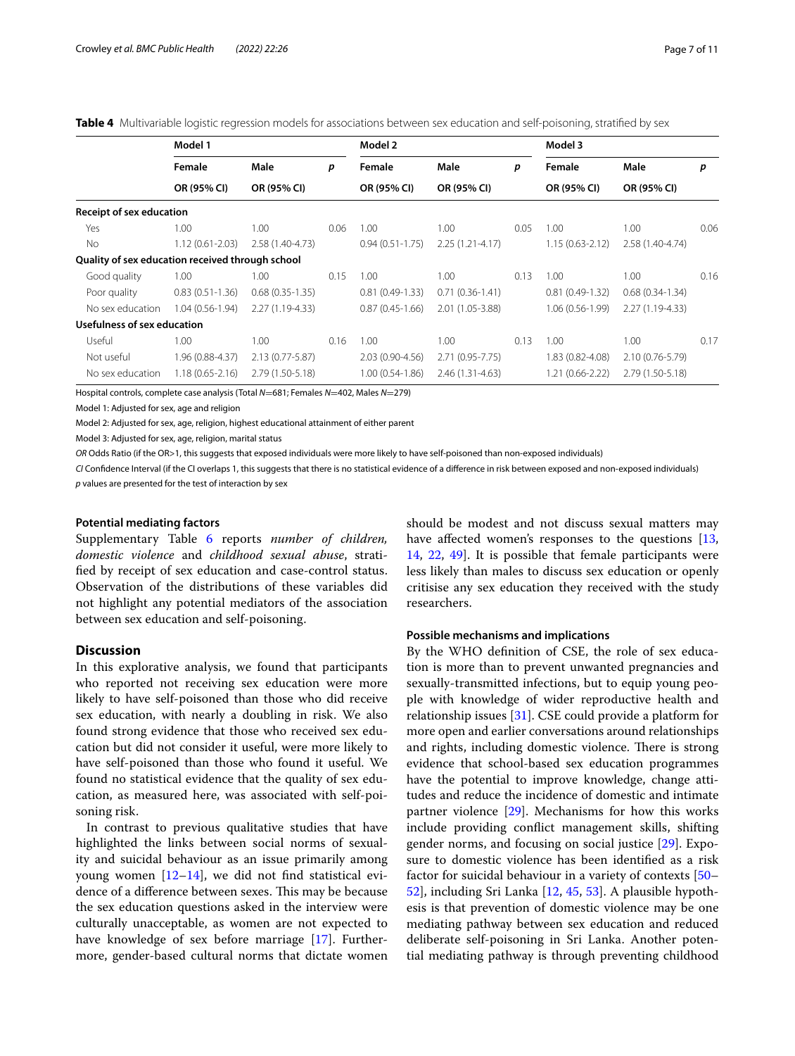<span id="page-6-0"></span>

| Table 4 Multivariable logistic regression models for associations between sex education and self-poisoning, stratified by sex |  |  |  |  |  |
|-------------------------------------------------------------------------------------------------------------------------------|--|--|--|--|--|
|                                                                                                                               |  |  |  |  |  |

|                                                  | Model 1             |                     |      | Model 2             |                     |      | Model 3             |                   |      |
|--------------------------------------------------|---------------------|---------------------|------|---------------------|---------------------|------|---------------------|-------------------|------|
|                                                  | Female              | Male                | p    | Female              | Male                | р    | Female              | Male              | p    |
|                                                  | OR (95% CI)         | OR (95% CI)         |      | OR (95% CI)         | OR (95% CI)         |      | OR (95% CI)         | OR (95% CI)       |      |
| <b>Receipt of sex education</b>                  |                     |                     |      |                     |                     |      |                     |                   |      |
| Yes                                              | 1.00                | 1.00                | 0.06 | 1.00                | 1.00                | 0.05 | 1.00                | 1.00              | 0.06 |
| <b>No</b>                                        | $1.12(0.61 - 2.03)$ | 2.58 (1.40-4.73)    |      | $0.94(0.51 - 1.75)$ | $2.25(1.21 - 4.17)$ |      | $1.15(0.63 - 2.12)$ | 2.58 (1.40-4.74)  |      |
| Quality of sex education received through school |                     |                     |      |                     |                     |      |                     |                   |      |
| Good quality                                     | 1.00                | 1.00                | 0.15 | 1.00                | 1.00 <sub>1</sub>   | 0.13 | 1.00                | 1.00              | 0.16 |
| Poor quality                                     | $0.83(0.51-1.36)$   | $0.68(0.35-1.35)$   |      | $0.81(0.49-1.33)$   | $0.71(0.36-1.41)$   |      | $0.81(0.49-1.32)$   | $0.68(0.34-1.34)$ |      |
| No sex education                                 | $1.04(0.56 - 1.94)$ | 2.27 (1.19-4.33)    |      | $0.87(0.45-1.66)$   | 2.01 (1.05-3.88)    |      | 1.06 (0.56-1.99)    | 2.27 (1.19-4.33)  |      |
| Usefulness of sex education                      |                     |                     |      |                     |                     |      |                     |                   |      |
| Useful                                           | 1.00                | 1.00                | 0.16 | 1.00                | 1.00                | 0.13 | 1.00                | 1.00              | 0.17 |
| Not useful                                       | 1.96 (0.88-4.37)    | $2.13(0.77 - 5.87)$ |      | 2.03 (0.90-4.56)    | 2.71 (0.95-7.75)    |      | 1.83 (0.82-4.08)    | 2.10 (0.76-5.79)  |      |
| No sex education                                 | $1.18(0.65 - 2.16)$ | 2.79 (1.50-5.18)    |      | $1.00(0.54-1.86)$   | 2.46 (1.31-4.63)    |      | 1.21 (0.66-2.22)    | 2.79 (1.50-5.18)  |      |

Hospital controls, complete case analysis (Total *N*=681; Females *N*=402, Males *N*=279)

Model 1: Adjusted for sex, age and religion

Model 2: Adjusted for sex, age, religion, highest educational attainment of either parent

Model 3: Adjusted for sex, age, religion, marital status

*OR* Odds Ratio (if the OR>1, this suggests that exposed individuals were more likely to have self-poisoned than non-exposed individuals)

*CI* Confdence Interval (if the CI overlaps 1, this suggests that there is no statistical evidence of a diference in risk between exposed and non-exposed individuals) *p* values are presented for the test of interaction by sex

#### **Potential mediating factors**

Supplementary Table [6](#page-8-0) reports *number of children, domestic violence* and *childhood sexual abuse*, stratifed by receipt of sex education and case-control status. Observation of the distributions of these variables did not highlight any potential mediators of the association between sex education and self-poisoning.

# **Discussion**

In this explorative analysis, we found that participants who reported not receiving sex education were more likely to have self-poisoned than those who did receive sex education, with nearly a doubling in risk. We also found strong evidence that those who received sex education but did not consider it useful, were more likely to have self-poisoned than those who found it useful. We found no statistical evidence that the quality of sex education, as measured here, was associated with self-poisoning risk.

In contrast to previous qualitative studies that have highlighted the links between social norms of sexuality and suicidal behaviour as an issue primarily among young women  $[12-14]$  $[12-14]$ , we did not find statistical evidence of a difference between sexes. This may be because the sex education questions asked in the interview were culturally unacceptable, as women are not expected to have knowledge of sex before marriage [\[17\]](#page-9-14). Furthermore, gender-based cultural norms that dictate women

should be modest and not discuss sexual matters may have affected women's responses to the questions [[13](#page-9-11), [14,](#page-9-15) [22,](#page-9-19) [49\]](#page-10-26). It is possible that female participants were less likely than males to discuss sex education or openly critisise any sex education they received with the study researchers.

#### **Possible mechanisms and implications**

By the WHO defnition of CSE, the role of sex education is more than to prevent unwanted pregnancies and sexually-transmitted infections, but to equip young people with knowledge of wider reproductive health and relationship issues [\[31](#page-10-8)]. CSE could provide a platform for more open and earlier conversations around relationships and rights, including domestic violence. There is strong evidence that school-based sex education programmes have the potential to improve knowledge, change attitudes and reduce the incidence of domestic and intimate partner violence [[29\]](#page-10-6). Mechanisms for how this works include providing confict management skills, shifting gender norms, and focusing on social justice [[29\]](#page-10-6). Exposure to domestic violence has been identifed as a risk factor for suicidal behaviour in a variety of contexts [[50–](#page-10-27) [52\]](#page-10-28), including Sri Lanka [\[12](#page-9-10), [45](#page-10-22), [53\]](#page-10-29). A plausible hypothesis is that prevention of domestic violence may be one mediating pathway between sex education and reduced deliberate self-poisoning in Sri Lanka. Another potential mediating pathway is through preventing childhood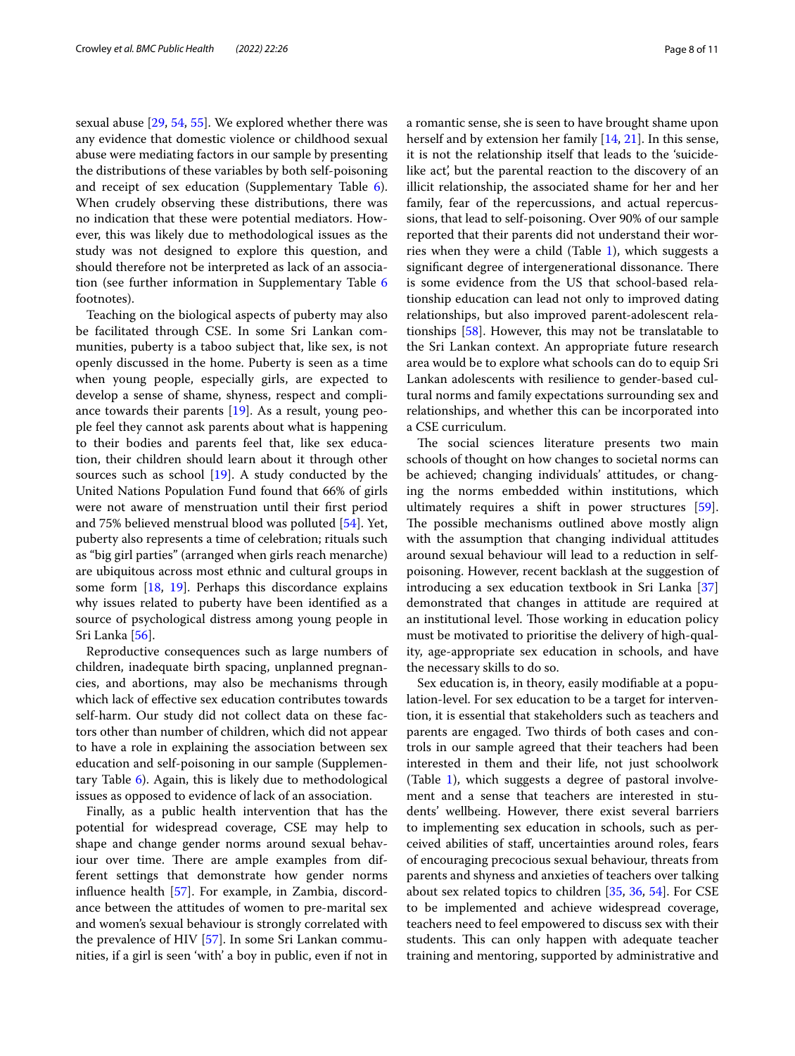sexual abuse [[29](#page-10-6), [54](#page-10-30), [55\]](#page-10-31). We explored whether there was any evidence that domestic violence or childhood sexual abuse were mediating factors in our sample by presenting the distributions of these variables by both self-poisoning and receipt of sex education (Supplementary Table [6](#page-8-0)). When crudely observing these distributions, there was no indication that these were potential mediators. However, this was likely due to methodological issues as the study was not designed to explore this question, and should therefore not be interpreted as lack of an association (see further information in Supplementary Table [6](#page-8-0) footnotes).

Teaching on the biological aspects of puberty may also be facilitated through CSE. In some Sri Lankan communities, puberty is a taboo subject that, like sex, is not openly discussed in the home. Puberty is seen as a time when young people, especially girls, are expected to develop a sense of shame, shyness, respect and compliance towards their parents [\[19](#page-9-17)]. As a result, young people feel they cannot ask parents about what is happening to their bodies and parents feel that, like sex education, their children should learn about it through other sources such as school [\[19](#page-9-17)]. A study conducted by the United Nations Population Fund found that 66% of girls were not aware of menstruation until their frst period and 75% believed menstrual blood was polluted [\[54](#page-10-30)]. Yet, puberty also represents a time of celebration; rituals such as "big girl parties" (arranged when girls reach menarche) are ubiquitous across most ethnic and cultural groups in some form [[18,](#page-9-16) [19](#page-9-17)]. Perhaps this discordance explains why issues related to puberty have been identifed as a source of psychological distress among young people in Sri Lanka [\[56\]](#page-10-32).

Reproductive consequences such as large numbers of children, inadequate birth spacing, unplanned pregnancies, and abortions, may also be mechanisms through which lack of efective sex education contributes towards self-harm. Our study did not collect data on these factors other than number of children, which did not appear to have a role in explaining the association between sex education and self-poisoning in our sample (Supplementary Table [6](#page-8-0)). Again, this is likely due to methodological issues as opposed to evidence of lack of an association.

Finally, as a public health intervention that has the potential for widespread coverage, CSE may help to shape and change gender norms around sexual behaviour over time. There are ample examples from different settings that demonstrate how gender norms infuence health [[57](#page-10-33)]. For example, in Zambia, discordance between the attitudes of women to pre-marital sex and women's sexual behaviour is strongly correlated with the prevalence of HIV [\[57\]](#page-10-33). In some Sri Lankan communities, if a girl is seen 'with' a boy in public, even if not in a romantic sense, she is seen to have brought shame upon herself and by extension her family [\[14](#page-9-15), [21\]](#page-9-20). In this sense, it is not the relationship itself that leads to the 'suicidelike act, but the parental reaction to the discovery of an illicit relationship, the associated shame for her and her family, fear of the repercussions, and actual repercussions, that lead to self-poisoning. Over 90% of our sample reported that their parents did not understand their worries when they were a child (Table [1](#page-4-0)), which suggests a significant degree of intergenerational dissonance. There is some evidence from the US that school-based relationship education can lead not only to improved dating relationships, but also improved parent-adolescent relationships [[58\]](#page-10-34). However, this may not be translatable to the Sri Lankan context. An appropriate future research area would be to explore what schools can do to equip Sri Lankan adolescents with resilience to gender-based cultural norms and family expectations surrounding sex and relationships, and whether this can be incorporated into a CSE curriculum.

The social sciences literature presents two main schools of thought on how changes to societal norms can be achieved; changing individuals' attitudes, or changing the norms embedded within institutions, which ultimately requires a shift in power structures [\[59](#page-10-35)]. The possible mechanisms outlined above mostly align with the assumption that changing individual attitudes around sexual behaviour will lead to a reduction in selfpoisoning. However, recent backlash at the suggestion of introducing a sex education textbook in Sri Lanka [[37](#page-10-14)] demonstrated that changes in attitude are required at an institutional level. Those working in education policy must be motivated to prioritise the delivery of high-quality, age-appropriate sex education in schools, and have the necessary skills to do so.

Sex education is, in theory, easily modifable at a population-level. For sex education to be a target for intervention, it is essential that stakeholders such as teachers and parents are engaged. Two thirds of both cases and controls in our sample agreed that their teachers had been interested in them and their life, not just schoolwork (Table [1](#page-4-0)), which suggests a degree of pastoral involvement and a sense that teachers are interested in students' wellbeing. However, there exist several barriers to implementing sex education in schools, such as perceived abilities of staf, uncertainties around roles, fears of encouraging precocious sexual behaviour, threats from parents and shyness and anxieties of teachers over talking about sex related topics to children [[35](#page-10-12), [36](#page-10-13), [54](#page-10-30)]. For CSE to be implemented and achieve widespread coverage, teachers need to feel empowered to discuss sex with their students. This can only happen with adequate teacher training and mentoring, supported by administrative and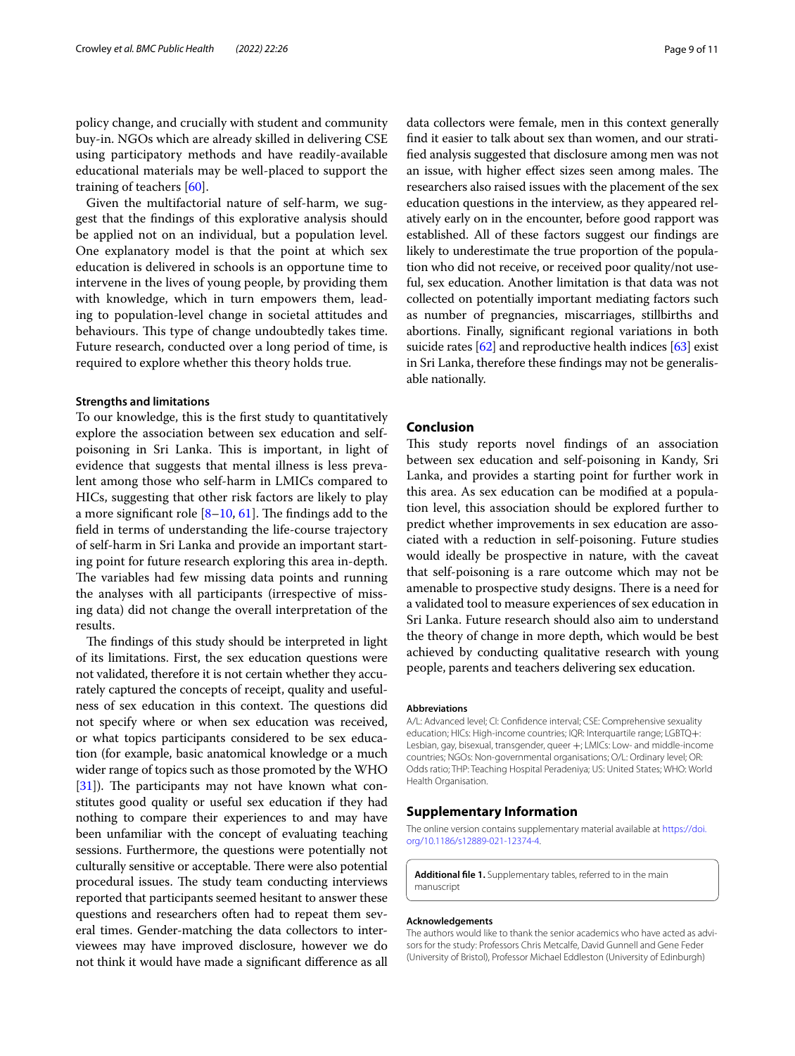policy change, and crucially with student and community buy-in. NGOs which are already skilled in delivering CSE using participatory methods and have readily-available educational materials may be well-placed to support the training of teachers [\[60](#page-10-36)].

Given the multifactorial nature of self-harm, we suggest that the fndings of this explorative analysis should be applied not on an individual, but a population level. One explanatory model is that the point at which sex education is delivered in schools is an opportune time to intervene in the lives of young people, by providing them with knowledge, which in turn empowers them, leading to population-level change in societal attitudes and behaviours. This type of change undoubtedly takes time. Future research, conducted over a long period of time, is required to explore whether this theory holds true.

#### **Strengths and limitations**

To our knowledge, this is the frst study to quantitatively explore the association between sex education and selfpoisoning in Sri Lanka. This is important, in light of evidence that suggests that mental illness is less prevalent among those who self-harm in LMICs compared to HICs, suggesting that other risk factors are likely to play a more significant role  $[8-10, 61]$  $[8-10, 61]$  $[8-10, 61]$  $[8-10, 61]$ . The findings add to the feld in terms of understanding the life-course trajectory of self-harm in Sri Lanka and provide an important starting point for future research exploring this area in-depth. The variables had few missing data points and running the analyses with all participants (irrespective of missing data) did not change the overall interpretation of the results.

The findings of this study should be interpreted in light of its limitations. First, the sex education questions were not validated, therefore it is not certain whether they accurately captured the concepts of receipt, quality and usefulness of sex education in this context. The questions did not specify where or when sex education was received, or what topics participants considered to be sex education (for example, basic anatomical knowledge or a much wider range of topics such as those promoted by the WHO  $[31]$  $[31]$  $[31]$ ). The participants may not have known what constitutes good quality or useful sex education if they had nothing to compare their experiences to and may have been unfamiliar with the concept of evaluating teaching sessions. Furthermore, the questions were potentially not culturally sensitive or acceptable. There were also potential procedural issues. The study team conducting interviews reported that participants seemed hesitant to answer these questions and researchers often had to repeat them several times. Gender-matching the data collectors to interviewees may have improved disclosure, however we do not think it would have made a signifcant diference as all

data collectors were female, men in this context generally fnd it easier to talk about sex than women, and our stratifed analysis suggested that disclosure among men was not an issue, with higher effect sizes seen among males. The researchers also raised issues with the placement of the sex education questions in the interview, as they appeared relatively early on in the encounter, before good rapport was established. All of these factors suggest our fndings are likely to underestimate the true proportion of the population who did not receive, or received poor quality/not useful, sex education. Another limitation is that data was not collected on potentially important mediating factors such as number of pregnancies, miscarriages, stillbirths and abortions. Finally, signifcant regional variations in both suicide rates  $[62]$  and reproductive health indices  $[63]$  exist in Sri Lanka, therefore these fndings may not be generalisable nationally.

# **Conclusion**

This study reports novel findings of an association between sex education and self-poisoning in Kandy, Sri Lanka, and provides a starting point for further work in this area. As sex education can be modifed at a population level, this association should be explored further to predict whether improvements in sex education are associated with a reduction in self-poisoning. Future studies would ideally be prospective in nature, with the caveat that self-poisoning is a rare outcome which may not be amenable to prospective study designs. There is a need for a validated tool to measure experiences of sex education in Sri Lanka. Future research should also aim to understand the theory of change in more depth, which would be best achieved by conducting qualitative research with young people, parents and teachers delivering sex education.

#### **Abbreviations**

A/L: Advanced level; CI: Confdence interval; CSE: Comprehensive sexuality education; HICs: High-income countries; IQR: Interquartile range; LGBTQ+: Lesbian, gay, bisexual, transgender, queer +; LMICs: Low- and middle-income countries; NGOs: Non-governmental organisations; O/L: Ordinary level; OR: Odds ratio; THP: Teaching Hospital Peradeniya; US: United States; WHO: World Health Organisation.

# **Supplementary Information**

The online version contains supplementary material available at [https://doi.](https://doi.org/10.1186/s12889-021-12374-4) [org/10.1186/s12889-021-12374-4](https://doi.org/10.1186/s12889-021-12374-4).

<span id="page-8-0"></span>**Additional fle 1.** Supplementary tables, referred to in the main manuscript

#### **Acknowledgements**

The authors would like to thank the senior academics who have acted as advisors for the study: Professors Chris Metcalfe, David Gunnell and Gene Feder (University of Bristol), Professor Michael Eddleston (University of Edinburgh)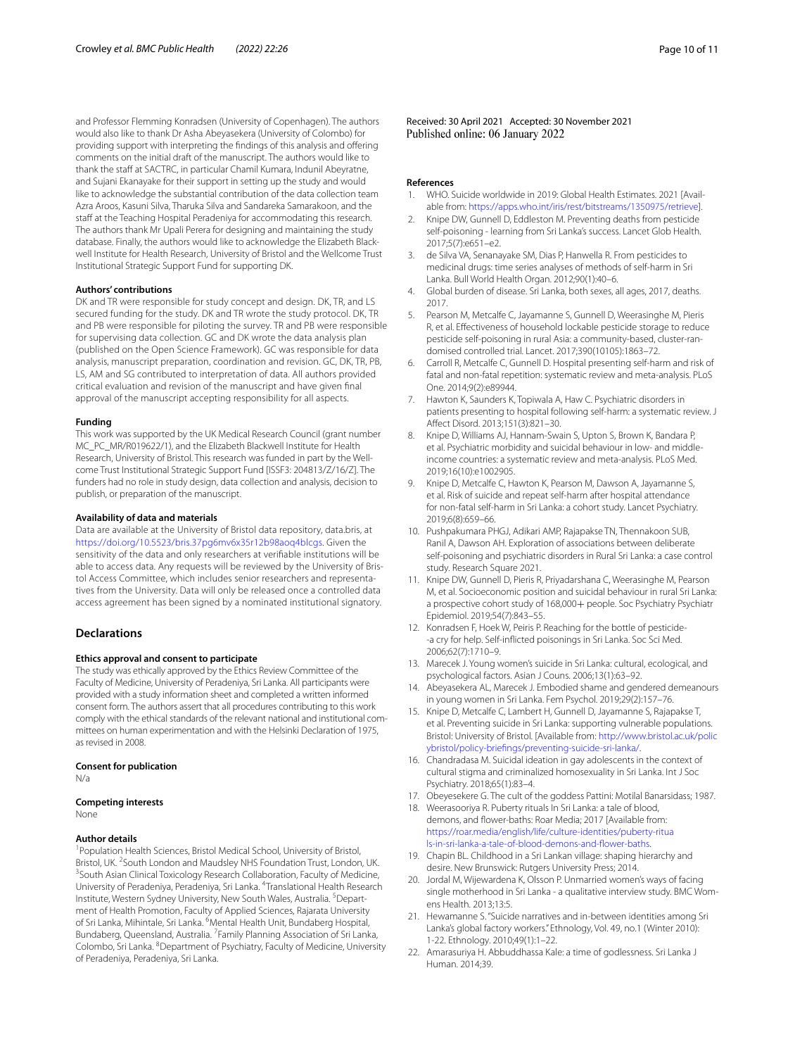and Professor Flemming Konradsen (University of Copenhagen). The authors would also like to thank Dr Asha Abeyasekera (University of Colombo) for providing support with interpreting the fndings of this analysis and ofering comments on the initial draft of the manuscript. The authors would like to thank the staff at SACTRC, in particular Chamil Kumara, Indunil Abeyratne, and Sujani Ekanayake for their support in setting up the study and would like to acknowledge the substantial contribution of the data collection team Azra Aroos, Kasuni Silva, Tharuka Silva and Sandareka Samarakoon, and the staff at the Teaching Hospital Peradeniya for accommodating this research. The authors thank Mr Upali Perera for designing and maintaining the study database. Finally, the authors would like to acknowledge the Elizabeth Blackwell Institute for Health Research, University of Bristol and the Wellcome Trust Institutional Strategic Support Fund for supporting DK.

#### **Authors' contributions**

DK and TR were responsible for study concept and design. DK, TR, and LS secured funding for the study. DK and TR wrote the study protocol. DK, TR and PB were responsible for piloting the survey. TR and PB were responsible for supervising data collection. GC and DK wrote the data analysis plan (published on the Open Science Framework). GC was responsible for data analysis, manuscript preparation, coordination and revision. GC, DK, TR, PB, LS, AM and SG contributed to interpretation of data. All authors provided critical evaluation and revision of the manuscript and have given fnal approval of the manuscript accepting responsibility for all aspects.

#### **Funding**

This work was supported by the UK Medical Research Council (grant number MC\_PC\_MR/R019622/1), and the Elizabeth Blackwell Institute for Health Research, University of Bristol. This research was funded in part by the Wellcome Trust Institutional Strategic Support Fund [ISSF3: 204813/Z/16/Z]. The funders had no role in study design, data collection and analysis, decision to publish, or preparation of the manuscript.

#### **Availability of data and materials**

Data are available at the University of Bristol data repository, data.bris, at [https://doi.org/10.5523/bris.37pg6mv6x35r12b98aoq4blcgs.](https://doi.org/10.5523/bris.37pg6mv6x35r12b98aoq4blcgs) Given the sensitivity of the data and only researchers at verifable institutions will be able to access data. Any requests will be reviewed by the University of Bristol Access Committee, which includes senior researchers and representatives from the University. Data will only be released once a controlled data access agreement has been signed by a nominated institutional signatory.

# **Declarations**

#### **Ethics approval and consent to participate**

The study was ethically approved by the Ethics Review Committee of the Faculty of Medicine, University of Peradeniya, Sri Lanka. All participants were provided with a study information sheet and completed a written informed consent form. The authors assert that all procedures contributing to this work comply with the ethical standards of the relevant national and institutional committees on human experimentation and with the Helsinki Declaration of 1975, as revised in 2008.

#### **Consent for publication**

N/a

#### **Competing interests**

None

#### **Author details**

<sup>1</sup> Population Health Sciences, Bristol Medical School, University of Bristol, Bristol, UK. <sup>2</sup>South London and Maudsley NHS Foundation Trust, London, UK.<br><sup>3</sup>South Asian Clinical Toxicology Research Collaboration, Faculty of Modicine <sup>3</sup> South Asian Clinical Toxicology Research Collaboration, Faculty of Medicine, University of Peradeniya, Peradeniya, Sri Lanka. <sup>4</sup>Translational Health Research Institute, Western Sydney University, New South Wales, Australia. <sup>5</sup>Department of Health Promotion, Faculty of Applied Sciences, Rajarata University of Sri Lanka, Mihintale, Sri Lanka. <sup>6</sup>Mental Health Unit, Bundaberg Hospital, Bundaberg, Queensland, Australia. <sup>7</sup> Family Planning Association of Sri Lanka, Colombo, Sri Lanka. <sup>8</sup> Department of Psychiatry, Faculty of Medicine, University of Peradeniya, Peradeniya, Sri Lanka.

Received: 30 April 2021 Accepted: 30 November 2021 Published online: 06 January 2022

#### **References**

- <span id="page-9-0"></span>1. WHO. Suicide worldwide in 2019: Global Health Estimates. 2021 [Available from:<https://apps.who.int/iris/rest/bitstreams/1350975/retrieve>].
- <span id="page-9-1"></span>2. Knipe DW, Gunnell D, Eddleston M. Preventing deaths from pesticide self-poisoning - learning from Sri Lanka's success. Lancet Glob Health. 2017;5(7):e651–e2.
- <span id="page-9-2"></span>3. de Silva VA, Senanayake SM, Dias P, Hanwella R. From pesticides to medicinal drugs: time series analyses of methods of self-harm in Sri Lanka. Bull World Health Organ. 2012;90(1):40–6.
- <span id="page-9-3"></span>4. Global burden of disease. Sri Lanka, both sexes, all ages, 2017, deaths. 2017.
- <span id="page-9-4"></span>5. Pearson M, Metcalfe C, Jayamanne S, Gunnell D, Weerasinghe M, Pieris R, et al. Efectiveness of household lockable pesticide storage to reduce pesticide self-poisoning in rural Asia: a community-based, cluster-randomised controlled trial. Lancet. 2017;390(10105):1863–72.
- <span id="page-9-5"></span>6. Carroll R, Metcalfe C, Gunnell D. Hospital presenting self-harm and risk of fatal and non-fatal repetition: systematic review and meta-analysis. PLoS One. 2014;9(2):e89944.
- <span id="page-9-6"></span>7. Hawton K, Saunders K, Topiwala A, Haw C. Psychiatric disorders in patients presenting to hospital following self-harm: a systematic review. J Afect Disord. 2013;151(3):821–30.
- <span id="page-9-7"></span>8. Knipe D, Williams AJ, Hannam-Swain S, Upton S, Brown K, Bandara P, et al. Psychiatric morbidity and suicidal behaviour in low- and middleincome countries: a systematic review and meta-analysis. PLoS Med. 2019;16(10):e1002905.
- 9. Knipe D, Metcalfe C, Hawton K, Pearson M, Dawson A, Jayamanne S, et al. Risk of suicide and repeat self-harm after hospital attendance for non-fatal self-harm in Sri Lanka: a cohort study. Lancet Psychiatry. 2019;6(8):659–66.
- <span id="page-9-8"></span>10. Pushpakumara PHGJ, Adikari AMP, Rajapakse TN, Thennakoon SUB, Ranil A, Dawson AH. Exploration of associations between deliberate self-poisoning and psychiatric disorders in Rural Sri Lanka: a case control study. Research Square 2021.
- <span id="page-9-9"></span>11. Knipe DW, Gunnell D, Pieris R, Priyadarshana C, Weerasinghe M, Pearson M, et al. Socioeconomic position and suicidal behaviour in rural Sri Lanka: a prospective cohort study of 168,000+ people. Soc Psychiatry Psychiatr Epidemiol. 2019;54(7):843–55.
- <span id="page-9-10"></span>12. Konradsen F, Hoek W, Peiris P. Reaching for the bottle of pesticide- -a cry for help. Self-inficted poisonings in Sri Lanka. Soc Sci Med. 2006;62(7):1710–9.
- <span id="page-9-11"></span>13. Marecek J. Young women's suicide in Sri Lanka: cultural, ecological, and psychological factors. Asian J Couns. 2006;13(1):63–92.
- <span id="page-9-15"></span>14. Abeyasekera AL, Marecek J. Embodied shame and gendered demeanours in young women in Sri Lanka. Fem Psychol. 2019;29(2):157–76.
- <span id="page-9-12"></span>15. Knipe D, Metcalfe C, Lambert H, Gunnell D, Jayamanne S, Rajapakse T, et al. Preventing suicide in Sri Lanka: supporting vulnerable populations. Bristol: University of Bristol. [Available from: [http://www.bristol.ac.uk/polic](http://www.bristol.ac.uk/policybristol/policy-briefings/preventing-suicide-sri-lanka/) [ybristol/policy-briefings/preventing-suicide-sri-lanka/](http://www.bristol.ac.uk/policybristol/policy-briefings/preventing-suicide-sri-lanka/).
- <span id="page-9-13"></span>16. Chandradasa M. Suicidal ideation in gay adolescents in the context of cultural stigma and criminalized homosexuality in Sri Lanka. Int J Soc Psychiatry. 2018;65(1):83–4.
- <span id="page-9-14"></span>17. Obeyesekere G. The cult of the goddess Pattini: Motilal Banarsidass; 1987.
- <span id="page-9-16"></span>18. Weerasooriya R. Puberty rituals In Sri Lanka: a tale of blood, demons, and fower-baths: Roar Media; 2017 [Available from: [https://roar.media/english/life/culture-identities/puberty-ritua](https://roar.media/english/life/culture-identities/puberty-rituals-in-sri-lanka-a-tale-of-blood-demons-and-flower-baths) [ls-in-sri-lanka-a-tale-of-blood-demons-and-fower-baths.](https://roar.media/english/life/culture-identities/puberty-rituals-in-sri-lanka-a-tale-of-blood-demons-and-flower-baths)
- <span id="page-9-17"></span>19. Chapin BL. Childhood in a Sri Lankan village: shaping hierarchy and desire. New Brunswick: Rutgers University Press; 2014.
- <span id="page-9-18"></span>20. Jordal M, Wijewardena K, Olsson P. Unmarried women's ways of facing single motherhood in Sri Lanka - a qualitative interview study. BMC Womens Health. 2013;13:5.
- <span id="page-9-20"></span>21. Hewamanne S. "Suicide narratives and in-between identities among Sri Lanka's global factory workers." Ethnology, Vol. 49, no.1 (Winter 2010): 1-22. Ethnology. 2010;49(1):1–22.
- <span id="page-9-19"></span>22. Amarasuriya H. Abbuddhassa Kale: a time of godlessness. Sri Lanka J Human. 2014;39.